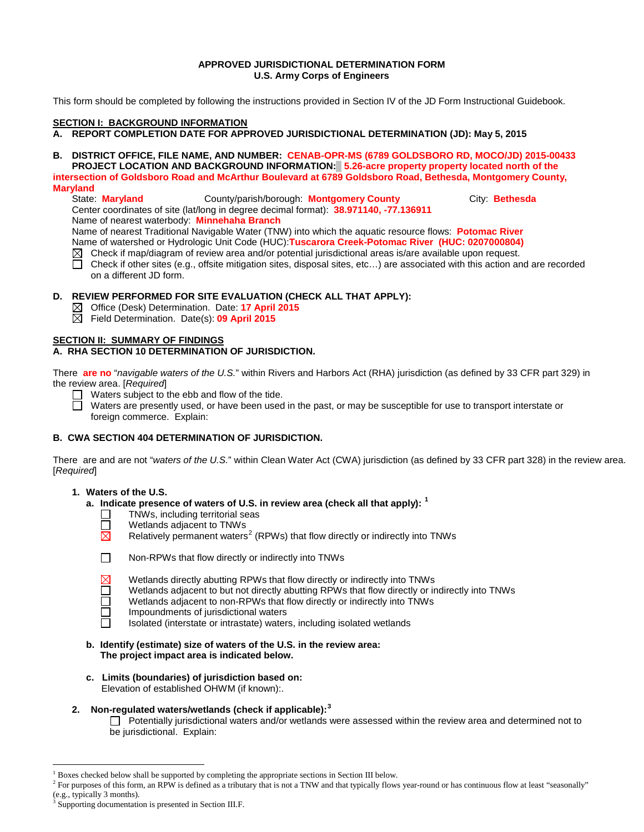## **APPROVED JURISDICTIONAL DETERMINATION FORM U.S. Army Corps of Engineers**

This form should be completed by following the instructions provided in Section IV of the JD Form Instructional Guidebook.

#### **SECTION I: BACKGROUND INFORMATION**

**A. REPORT COMPLETION DATE FOR APPROVED JURISDICTIONAL DETERMINATION (JD): May 5, 2015**

**B. DISTRICT OFFICE, FILE NAME, AND NUMBER: CENAB-OPR-MS (6789 GOLDSBORO RD, MOCO/JD) 2015-00433 PROJECT LOCATION AND BACKGROUND INFORMATION: 5.26-acre property property located north of the intersection of Goldsboro Road and McArthur Boulevard at 6789 Goldsboro Road, Bethesda, Montgomery County,** 

# **Maryland**

State: **Maryland** County/parish/borough: **Montgomery County** City: **Bethesda** Center coordinates of site (lat/long in degree decimal format): **38.971140, -77.136911**

Name of nearest waterbody: **Minnehaha Branch**

Name of nearest Traditional Navigable Water (TNW) into which the aquatic resource flows: **Potomac River**

Name of watershed or Hydrologic Unit Code (HUC):**Tuscarora Creek-Potomac River (HUC: 0207000804)** 

- $\boxtimes$  Check if map/diagram of review area and/or potential jurisdictional areas is/are available upon request.
- П Check if other sites (e.g., offsite mitigation sites, disposal sites, etc…) are associated with this action and are recorded on a different JD form.

## **D. REVIEW PERFORMED FOR SITE EVALUATION (CHECK ALL THAT APPLY):**

- Office (Desk) Determination. Date: **17 April 2015**
- $\boxtimes$ Field Determination. Date(s): **09 April 2015**

#### **SECTION II: SUMMARY OF FINDINGS**

## **A. RHA SECTION 10 DETERMINATION OF JURISDICTION.**

There **are no** "*navigable waters of the U.S.*" within Rivers and Harbors Act (RHA) jurisdiction (as defined by 33 CFR part 329) in the review area. [*Required*]

- $\Box$  Waters subject to the ebb and flow of the tide.
- $\Box$ Waters are presently used, or have been used in the past, or may be susceptible for use to transport interstate or foreign commerce. Explain:

## **B. CWA SECTION 404 DETERMINATION OF JURISDICTION.**

There are and are not "*waters of the U.S.*" within Clean Water Act (CWA) jurisdiction (as defined by 33 CFR part 328) in the review area. [*Required*]

## **1. Waters of the U.S.**

- **a. Indicate presence of waters of U.S. in review area (check all that apply): [1](#page-0-0)**
	- TNWs, including territorial seas
	- $\Box$ Wetlands adjacent to TNWs
	- Relatively permanent waters<sup>[2](#page-0-1)</sup> (RPWs) that flow directly or indirectly into TNWs ⊠
	- П Non-RPWs that flow directly or indirectly into TNWs
		- Wetlands directly abutting RPWs that flow directly or indirectly into TNWs
		- Wetlands adjacent to but not directly abutting RPWs that flow directly or indirectly into TNWs
		- Wetlands adjacent to non-RPWs that flow directly or indirectly into TNWs
	- Impoundments of jurisdictional waters П
		- Isolated (interstate or intrastate) waters, including isolated wetlands
- **b. Identify (estimate) size of waters of the U.S. in the review area: The project impact area is indicated below.**
- **c. Limits (boundaries) of jurisdiction based on:** Elevation of established OHWM (if known):.

# **2. Non-regulated waters/wetlands (check if applicable): [3](#page-0-2)**

Potentially jurisdictional waters and/or wetlands were assessed within the review area and determined not to be jurisdictional. Explain:

 <sup>1</sup> Boxes checked below shall be supported by completing the appropriate sections in Section III below.

<span id="page-0-1"></span><span id="page-0-0"></span><sup>&</sup>lt;sup>2</sup> For purposes of this form, an RPW is defined as a tributary that is not a TNW and that typically flows year-round or has continuous flow at least "seasonally" (e.g., typically 3 months).

<span id="page-0-2"></span>Supporting documentation is presented in Section III.F.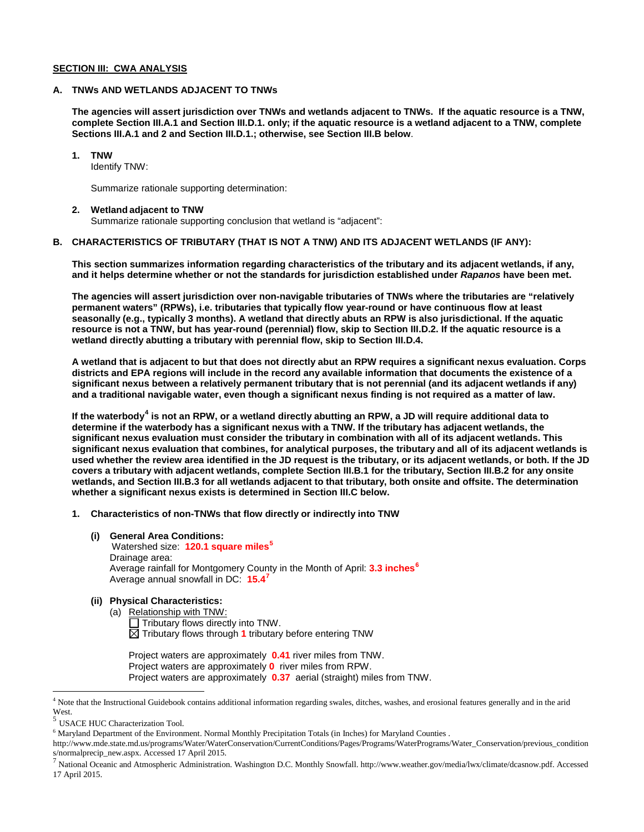#### **SECTION III: CWA ANALYSIS**

#### **A. TNWs AND WETLANDS ADJACENT TO TNWs**

**The agencies will assert jurisdiction over TNWs and wetlands adjacent to TNWs. If the aquatic resource is a TNW, complete Section III.A.1 and Section III.D.1. only; if the aquatic resource is a wetland adjacent to a TNW, complete Sections III.A.1 and 2 and Section III.D.1.; otherwise, see Section III.B below**.

#### **1. TNW**

Identify TNW:

Summarize rationale supporting determination:

#### **2. Wetland adjacent to TNW**

Summarize rationale supporting conclusion that wetland is "adjacent":

## **B. CHARACTERISTICS OF TRIBUTARY (THAT IS NOT A TNW) AND ITS ADJACENT WETLANDS (IF ANY):**

**This section summarizes information regarding characteristics of the tributary and its adjacent wetlands, if any, and it helps determine whether or not the standards for jurisdiction established under** *Rapanos* **have been met.** 

**The agencies will assert jurisdiction over non-navigable tributaries of TNWs where the tributaries are "relatively permanent waters" (RPWs), i.e. tributaries that typically flow year-round or have continuous flow at least seasonally (e.g., typically 3 months). A wetland that directly abuts an RPW is also jurisdictional. If the aquatic resource is not a TNW, but has year-round (perennial) flow, skip to Section III.D.2. If the aquatic resource is a wetland directly abutting a tributary with perennial flow, skip to Section III.D.4.** 

**A wetland that is adjacent to but that does not directly abut an RPW requires a significant nexus evaluation. Corps districts and EPA regions will include in the record any available information that documents the existence of a significant nexus between a relatively permanent tributary that is not perennial (and its adjacent wetlands if any) and a traditional navigable water, even though a significant nexus finding is not required as a matter of law.**

**If the waterbody[4](#page-1-0) is not an RPW, or a wetland directly abutting an RPW, a JD will require additional data to determine if the waterbody has a significant nexus with a TNW. If the tributary has adjacent wetlands, the significant nexus evaluation must consider the tributary in combination with all of its adjacent wetlands. This significant nexus evaluation that combines, for analytical purposes, the tributary and all of its adjacent wetlands is used whether the review area identified in the JD request is the tributary, or its adjacent wetlands, or both. If the JD covers a tributary with adjacent wetlands, complete Section III.B.1 for the tributary, Section III.B.2 for any onsite wetlands, and Section III.B.3 for all wetlands adjacent to that tributary, both onsite and offsite. The determination whether a significant nexus exists is determined in Section III.C below.**

- **1. Characteristics of non-TNWs that flow directly or indirectly into TNW**
	- **(i) General Area Conditions:** Watershed size: **120.1 square miles[5](#page-1-1)** Drainage area: Average rainfall for Montgomery County in the Month of April: **3.3 inches[6](#page-1-2)** Average annual snowfall in DC: **15.4[7](#page-1-3)**

# **(ii) Physical Characteristics:**

(a) Relationship with TNW:  $\overline{\Box}$  Tributary flows directly into TNW.  $\boxtimes$  Tributary flows through 1 tributary before entering TNW

Project waters are approximately **0.41** river miles from TNW. Project waters are approximately **0** river miles from RPW. Project waters are approximately **0.37** aerial (straight) miles from TNW.

<span id="page-1-0"></span> <sup>4</sup> Note that the Instructional Guidebook contains additional information regarding swales, ditches, washes, and erosional features generally and in the arid West.

<span id="page-1-1"></span>USACE HUC Characterization Tool.

<sup>6</sup> Maryland Department of the Environment. Normal Monthly Precipitation Totals (in Inches) for Maryland Counties .

<span id="page-1-2"></span>http://www.mde.state.md.us/programs/Water/WaterConservation/CurrentConditions/Pages/Programs/WaterPrograms/Water\_Conservation/previous\_condition s/normalprecip\_new.aspx. Accessed 17 April 2015.

<span id="page-1-3"></span><sup>7</sup> National Oceanic and Atmospheric Administration. Washington D.C. Monthly Snowfall. http://www.weather.gov/media/lwx/climate/dcasnow.pdf. Accessed 17 April 2015.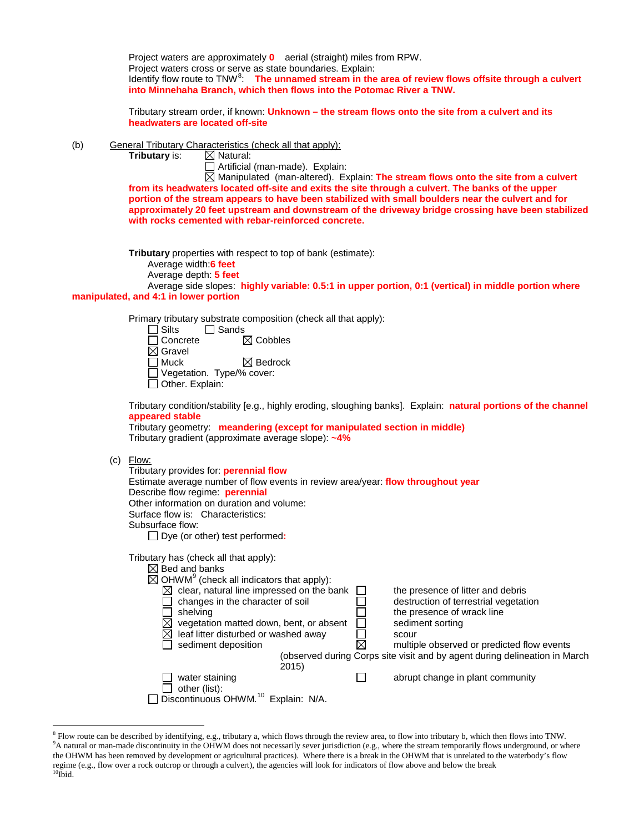Project waters are approximately **0** aerial (straight) miles from RPW. Project waters cross or serve as state boundaries. Explain: Identify flow route to TNW<sup>[8](#page-2-0)</sup>: The unnamed stream in the area of review flows offsite through a culvert **into Minnehaha Branch, which then flows into the Potomac River a TNW.** 

Tributary stream order, if known: **Unknown – the stream flows onto the site from a culvert and its headwaters are located off-site**

(b) General Tributary Characteristics (check all that apply):<br> **Tributary** is:  $\boxtimes$  Natural:

**Tributary** is:

Artificial (man-made). Explain:

Manipulated (man-altered). Explain: **The stream flows onto the site from a culvert from its headwaters located off-site and exits the site through a culvert. The banks of the upper portion of the stream appears to have been stabilized with small boulders near the culvert and for approximately 20 feet upstream and downstream of the driveway bridge crossing have been stabilized with rocks cemented with rebar-reinforced concrete.** 

**Tributary** properties with respect to top of bank (estimate):

Average width:**6 feet**

Average depth: **5 feet**

Average side slopes: **highly variable: 0.5:1 in upper portion, 0:1 (vertical) in middle portion where manipulated, and 4:1 in lower portion**

Primary tributary substrate composition (check all that apply):

| $\Box$ Silts       | $\Box$ Sands                |
|--------------------|-----------------------------|
| $\Box$ Concrete    | $\boxtimes$ Cobbles         |
| $\boxtimes$ Gravel |                             |
| $\Box$ Muck        | $\boxtimes$ Bedrock         |
|                    | □ Vegetation. Type/% cover: |
| Other. Explain:    |                             |

Tributary condition/stability [e.g., highly eroding, sloughing banks]. Explain: **natural portions of the channel appeared stable**

Tributary geometry: **meandering (except for manipulated section in middle)** Tributary gradient (approximate average slope): **~4%**

#### (c) Flow:

| Tributary provides for: <b>perennial flow</b><br>Estimate average number of flow events in review area/year: <b>flow throughout year</b><br>Describe flow regime: <b>perennial</b><br>Other information on duration and volume:<br>Surface flow is: Characteristics:<br>Subsurface flow:<br>Dye (or other) test performed:                                               |                                                                                                                                                                                                                                                                   |
|--------------------------------------------------------------------------------------------------------------------------------------------------------------------------------------------------------------------------------------------------------------------------------------------------------------------------------------------------------------------------|-------------------------------------------------------------------------------------------------------------------------------------------------------------------------------------------------------------------------------------------------------------------|
| Tributary has (check all that apply):<br>$\boxtimes$ Bed and banks<br>$\boxtimes$ OHWM <sup>9</sup> (check all indicators that apply):<br>clear, natural line impressed on the bank<br>⊠<br>changes in the character of soil<br>shelving<br>vegetation matted down, bent, or absent<br>leaf litter disturbed or washed away<br>$\bowtie$<br>sediment deposition<br>2015) | the presence of litter and debris<br>destruction of terrestrial vegetation<br>the presence of wrack line<br>sediment sorting<br>scour<br>multiple observed or predicted flow events<br>(observed during Corps site visit and by agent during delineation in March |
| water staining<br>other (list):<br>Discontinuous OHWM. <sup>10</sup><br>Explain: N/A.                                                                                                                                                                                                                                                                                    | abrupt change in plant community                                                                                                                                                                                                                                  |

<span id="page-2-2"></span><span id="page-2-1"></span><span id="page-2-0"></span><sup>&</sup>lt;sup>8</sup> Flow route can be described by identifying, e.g., tributary a, which flows through the review area, to flow into tributary b, which then flows into TNW. <sup>9</sup>A natural or man-made discontinuity in the OHWM does not necessarily sever jurisdiction (e.g., where the stream temporarily flows underground, or where the OHWM has been removed by development or agricultural practices). Where there is a break in the OHWM that is unrelated to the waterbody's flow regime (e.g., flow over a rock outcrop or through a culvert), the agencies will look for indicators of flow above and below the break <sup>10</sup>Ibid.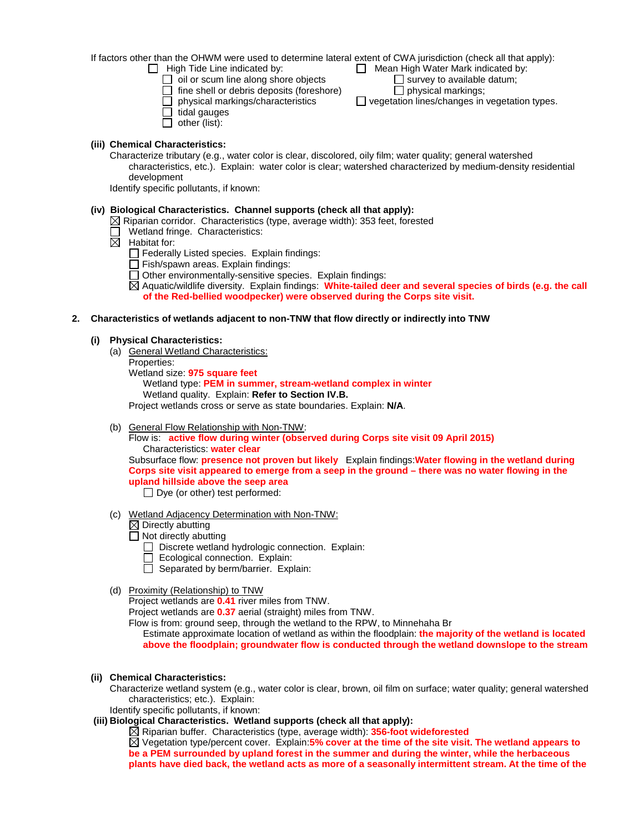If factors other than the OHWM were used to determine lateral extent of CWA jurisdiction (check all that apply):<br>  $\Box$  High Tide Line indicated by:  $\Box$  Mean High Water Mark indicated by:  $\Box$  Mean High Water Mark indicated by:<br> $\Box$  survey to available datum;

 $\Box$  oil or scum line along shore objects  $\Box$  survey to available  $\Box$  fine shell or debris deposits (foreshore)  $\Box$  physical markings;

 $\Box$  fine shell or debris deposits (foreshore)<br> $\Box$  physical markings/characteristics

- $\Box$  tidal gauges
- $\Box$  other (list):
- 

## **(iii) Chemical Characteristics:**

Characterize tributary (e.g., water color is clear, discolored, oily film; water quality; general watershed characteristics, etc.). Explain: water color is clear; watershed characterized by medium-density residential development

 $\Box$  vegetation lines/changes in vegetation types.

Identify specific pollutants, if known:

## **(iv) Biological Characteristics. Channel supports (check all that apply):**

- $\boxtimes$  Riparian corridor. Characteristics (type, average width): 353 feet, forested
- Wetland fringe. Characteristics:
- $\boxtimes$  Habitat for:
	- Federally Listed species. Explain findings:
	- Fish/spawn areas. Explain findings:
	- Other environmentally-sensitive species. Explain findings:

Aquatic/wildlife diversity. Explain findings: **White-tailed deer and several species of birds (e.g. the call of the Red-bellied woodpecker) were observed during the Corps site visit.** 

## **2. Characteristics of wetlands adjacent to non-TNW that flow directly or indirectly into TNW**

#### **(i) Physical Characteristics:**

- (a) General Wetland Characteristics:
	- Properties:

Wetland size: **975 square feet**

Wetland type: **PEM in summer, stream-wetland complex in winter** Wetland quality. Explain: **Refer to Section IV.B.**

Project wetlands cross or serve as state boundaries. Explain: **N/A**.

(b) General Flow Relationship with Non-TNW:

Flow is: **active flow during winter (observed during Corps site visit 09 April 2015)** Characteristics: **water clear**

Subsurface flow: **presence not proven but likely** Explain findings:**Water flowing in the wetland during Corps site visit appeared to emerge from a seep in the ground – there was no water flowing in the upland hillside above the seep area**

 $\Box$  Dye (or other) test performed:

- (c) Wetland Adjacency Determination with Non-TNW:
	- $\overline{\boxtimes}$  Directly abutting
	- $\Box$  Not directly abutting
		- Discrete wetland hydrologic connection. Explain:
		- $\Box$  Ecological connection. Explain:
		- $\Box$  Separated by berm/barrier. Explain:

## (d) Proximity (Relationship) to TNW

Project wetlands are **0.41** river miles from TNW.

Project wetlands are **0.37** aerial (straight) miles from TNW.

Flow is from: ground seep, through the wetland to the RPW, to Minnehaha Br

Estimate approximate location of wetland as within the floodplain: **the majority of the wetland is located above the floodplain; groundwater flow is conducted through the wetland downslope to the stream**

**(ii) Chemical Characteristics:**

Characterize wetland system (e.g., water color is clear, brown, oil film on surface; water quality; general watershed characteristics; etc.). Explain:

Identify specific pollutants, if known:

**(iii) Biological Characteristics. Wetland supports (check all that apply):**

Riparian buffer. Characteristics (type, average width): **356-foot wideforested**

Vegetation type/percent cover. Explain:**5% cover at the time of the site visit. The wetland appears to be a PEM surrounded by upland forest in the summer and during the winter, while the herbaceous plants have died back, the wetland acts as more of a seasonally intermittent stream. At the time of the**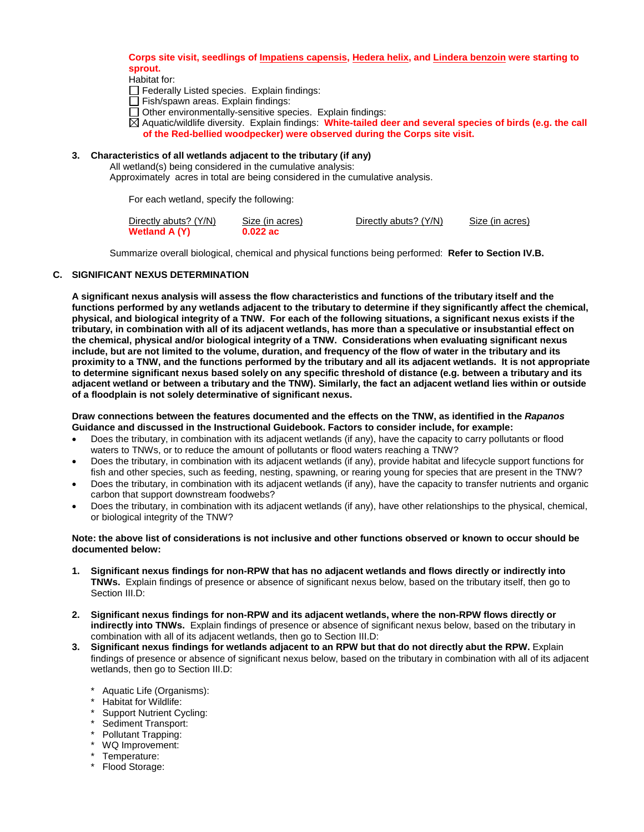## **Corps site visit, seedlings of Impatiens capensis, Hedera helix, and Lindera benzoin were starting to sprout.**

Habitat for:

- $\Box$  Federally Listed species. Explain findings:
- $\Box$  Fish/spawn areas. Explain findings:
- □ Other environmentally-sensitive species. Explain findings:
- Aquatic/wildlife diversity. Explain findings: **White-tailed deer and several species of birds (e.g. the call of the Red-bellied woodpecker) were observed during the Corps site visit.**

## **3. Characteristics of all wetlands adjacent to the tributary (if any)**

#### All wetland(s) being considered in the cumulative analysis:

Approximately acres in total are being considered in the cumulative analysis.

For each wetland, specify the following:

| Directly abuts? (Y/N) | Size (in acres) | Directly abuts? (Y/N) | Size (in acres) |
|-----------------------|-----------------|-----------------------|-----------------|
| Wetland A (Y)         | $0.022$ ac      |                       |                 |

Summarize overall biological, chemical and physical functions being performed: **Refer to Section IV.B.**

## **C. SIGNIFICANT NEXUS DETERMINATION**

**A significant nexus analysis will assess the flow characteristics and functions of the tributary itself and the functions performed by any wetlands adjacent to the tributary to determine if they significantly affect the chemical, physical, and biological integrity of a TNW. For each of the following situations, a significant nexus exists if the tributary, in combination with all of its adjacent wetlands, has more than a speculative or insubstantial effect on the chemical, physical and/or biological integrity of a TNW. Considerations when evaluating significant nexus include, but are not limited to the volume, duration, and frequency of the flow of water in the tributary and its proximity to a TNW, and the functions performed by the tributary and all its adjacent wetlands. It is not appropriate to determine significant nexus based solely on any specific threshold of distance (e.g. between a tributary and its adjacent wetland or between a tributary and the TNW). Similarly, the fact an adjacent wetland lies within or outside of a floodplain is not solely determinative of significant nexus.** 

#### **Draw connections between the features documented and the effects on the TNW, as identified in the** *Rapanos* **Guidance and discussed in the Instructional Guidebook. Factors to consider include, for example:**

- Does the tributary, in combination with its adjacent wetlands (if any), have the capacity to carry pollutants or flood waters to TNWs, or to reduce the amount of pollutants or flood waters reaching a TNW?
- Does the tributary, in combination with its adjacent wetlands (if any), provide habitat and lifecycle support functions for fish and other species, such as feeding, nesting, spawning, or rearing young for species that are present in the TNW?
- Does the tributary, in combination with its adjacent wetlands (if any), have the capacity to transfer nutrients and organic carbon that support downstream foodwebs?
- Does the tributary, in combination with its adjacent wetlands (if any), have other relationships to the physical, chemical, or biological integrity of the TNW?

#### **Note: the above list of considerations is not inclusive and other functions observed or known to occur should be documented below:**

- **1. Significant nexus findings for non-RPW that has no adjacent wetlands and flows directly or indirectly into TNWs.** Explain findings of presence or absence of significant nexus below, based on the tributary itself, then go to Section III.D:
- **2. Significant nexus findings for non-RPW and its adjacent wetlands, where the non-RPW flows directly or indirectly into TNWs.** Explain findings of presence or absence of significant nexus below, based on the tributary in combination with all of its adjacent wetlands, then go to Section III.D:
- **3. Significant nexus findings for wetlands adjacent to an RPW but that do not directly abut the RPW.** Explain findings of presence or absence of significant nexus below, based on the tributary in combination with all of its adjacent wetlands, then go to Section III.D:
	- \* Aquatic Life (Organisms):
	- \* Habitat for Wildlife:
	- \* Support Nutrient Cycling:
	- Sediment Transport:
	- Pollutant Trapping:
	- WQ Improvement:
	- \* Temperature:
	- \* Flood Storage: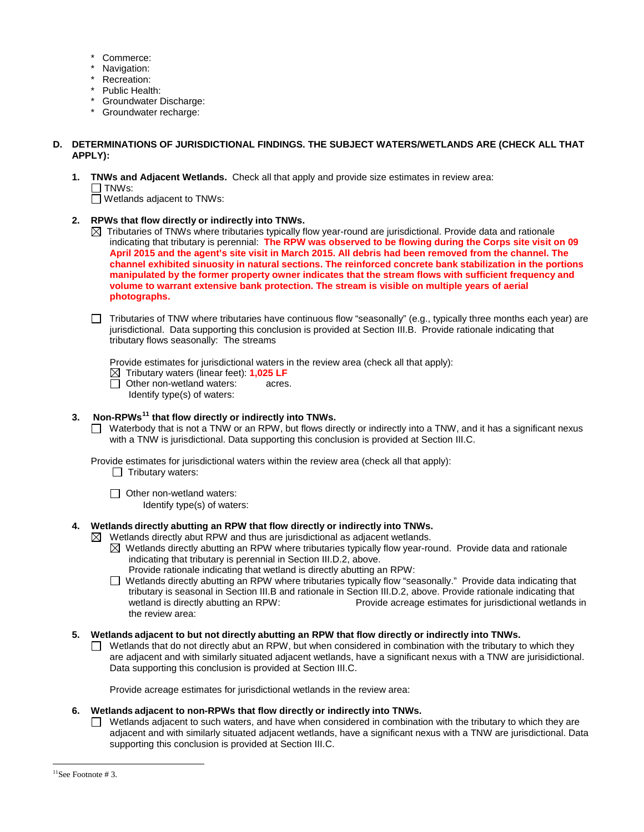- Commerce:
- Navigation:
- Recreation:
- Public Health:
- \* Groundwater Discharge:
- \* Groundwater recharge:

## **D. DETERMINATIONS OF JURISDICTIONAL FINDINGS. THE SUBJECT WATERS/WETLANDS ARE (CHECK ALL THAT APPLY):**

**1. TNWs and Adjacent Wetlands.** Check all that apply and provide size estimates in review area:  $\Box$  TNWs:

□ Wetlands adjacent to TNWs:

- **2. RPWs that flow directly or indirectly into TNWs.**
	- $\boxtimes$  Tributaries of TNWs where tributaries typically flow year-round are jurisdictional. Provide data and rationale indicating that tributary is perennial: **The RPW was observed to be flowing during the Corps site visit on 09 April 2015 and the agent's site visit in March 2015. All debris had been removed from the channel. The channel exhibited sinuosity in natural sections. The reinforced concrete bank stabilization in the portions manipulated by the former property owner indicates that the stream flows with sufficient frequency and volume to warrant extensive bank protection. The stream is visible on multiple years of aerial photographs.**
	- $\Box$  Tributaries of TNW where tributaries have continuous flow "seasonally" (e.g., typically three months each year) are jurisdictional. Data supporting this conclusion is provided at Section III.B. Provide rationale indicating that tributary flows seasonally: The streams

Provide estimates for jurisdictional waters in the review area (check all that apply):

**Tributary waters (linear feet): 1,025 LF**<br>□ Other non-wetland waters: acres.

 $\Box$  Other non-wetland waters:

Identify type(s) of waters:

# **3. Non-RPWs[11](#page-5-0) that flow directly or indirectly into TNWs.**

□ Waterbody that is not a TNW or an RPW, but flows directly or indirectly into a TNW, and it has a significant nexus with a TNW is jurisdictional. Data supporting this conclusion is provided at Section III.C.

Provide estimates for jurisdictional waters within the review area (check all that apply):

- $\Box$  Tributary waters:
- □ Other non-wetland waters:
	- Identify type(s) of waters:

# **4. Wetlands directly abutting an RPW that flow directly or indirectly into TNWs.**

- $\boxtimes$  Wetlands directly abut RPW and thus are jurisdictional as adjacent wetlands.  $\boxtimes$  Wetlands directly abutting an RPW where tributaries typically flow year-round. Provide data and rationale
	- indicating that tributary is perennial in Section III.D.2, above. Provide rationale indicating that wetland is directly abutting an RPW:
	- Wetlands directly abutting an RPW where tributaries typically flow "seasonally." Provide data indicating that tributary is seasonal in Section III.B and rationale in Section III.D.2, above. Provide rationale indicating that Provide acreage estimates for jurisdictional wetlands in the review area:
- **5. Wetlands adjacent to but not directly abutting an RPW that flow directly or indirectly into TNWs.**
	- n. Wetlands that do not directly abut an RPW, but when considered in combination with the tributary to which they are adjacent and with similarly situated adjacent wetlands, have a significant nexus with a TNW are jurisidictional. Data supporting this conclusion is provided at Section III.C.

Provide acreage estimates for jurisdictional wetlands in the review area:

# **6. Wetlands adjacent to non-RPWs that flow directly or indirectly into TNWs.**

 $\Box$  Wetlands adjacent to such waters, and have when considered in combination with the tributary to which they are adjacent and with similarly situated adjacent wetlands, have a significant nexus with a TNW are jurisdictional. Data supporting this conclusion is provided at Section III.C.

<span id="page-5-0"></span> $11$ See Footnote # 3.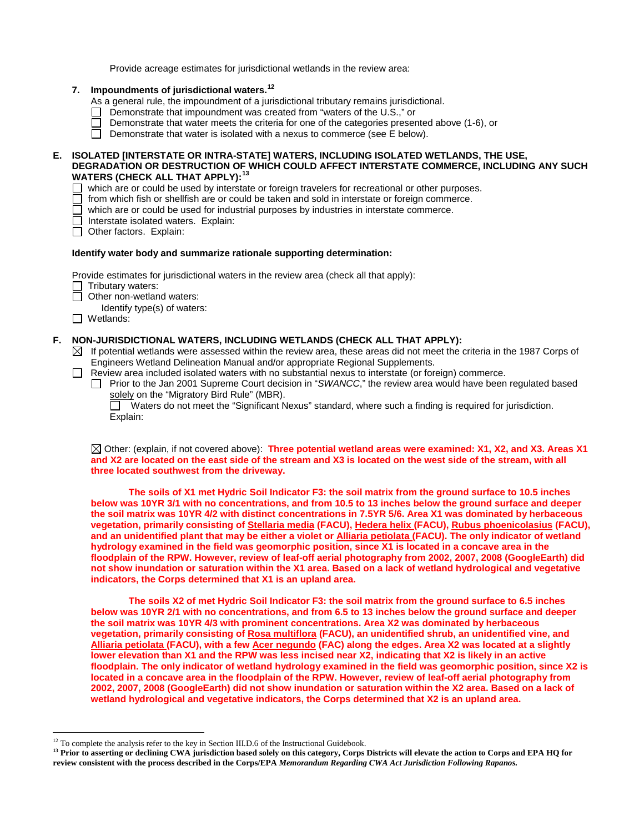Provide acreage estimates for jurisdictional wetlands in the review area:

- **7. Impoundments of jurisdictional waters.[12](#page-6-0)**
	- As a general rule, the impoundment of a jurisdictional tributary remains jurisdictional.
	- □ Demonstrate that impoundment was created from "waters of the U.S.," or
	- Demonstrate that water meets the criteria for one of the categories presented above  $(1-6)$ , or
	- $\Box$  Demonstrate that water is isolated with a nexus to commerce (see E below).

## **E. ISOLATED [INTERSTATE OR INTRA-STATE] WATERS, INCLUDING ISOLATED WETLANDS, THE USE, DEGRADATION OR DESTRUCTION OF WHICH COULD AFFECT INTERSTATE COMMERCE, INCLUDING ANY SUCH WATERS (CHECK ALL THAT APPLY):[13](#page-6-1)**

- $\Box$  which are or could be used by interstate or foreign travelers for recreational or other purposes.
- $\Box$  from which fish or shellfish are or could be taken and sold in interstate or foreign commerce.
- $\Box$  which are or could be used for industrial purposes by industries in interstate commerce.
- Interstate isolated waters.Explain:
- Other factors. Explain:

## **Identify water body and summarize rationale supporting determination:**

Provide estimates for jurisdictional waters in the review area (check all that apply):

- Tributary waters:
	- **Other non-wetland waters:**
- Identify type(s) of waters:
- □ Wetlands:

## **F. NON-JURISDICTIONAL WATERS, INCLUDING WETLANDS (CHECK ALL THAT APPLY):**

- $\boxtimes$  If potential wetlands were assessed within the review area, these areas did not meet the criteria in the 1987 Corps of Engineers Wetland Delineation Manual and/or appropriate Regional Supplements.
- □ Review area included isolated waters with no substantial nexus to interstate (or foreign) commerce.
	- Prior to the Jan 2001 Supreme Court decision in "*SWANCC*," the review area would have been regulated based solely on the "Migratory Bird Rule" (MBR).<br> $\Box$  Waters do not meet the "Significant N

 Waters do not meet the "Significant Nexus" standard, where such a finding is required for jurisdiction. Explain:

Other: (explain, if not covered above): **Three potential wetland areas were examined: X1, X2, and X3. Areas X1 and X2 are located on the east side of the stream and X3 is located on the west side of the stream, with all three located southwest from the driveway.** 

**The soils of X1 met Hydric Soil Indicator F3: the soil matrix from the ground surface to 10.5 inches below was 10YR 3/1 with no concentrations, and from 10.5 to 13 inches below the ground surface and deeper the soil matrix was 10YR 4/2 with distinct concentrations in 7.5YR 5/6. Area X1 was dominated by herbaceous vegetation, primarily consisting of Stellaria media (FACU), Hedera helix (FACU), Rubus phoenicolasius (FACU), and an unidentified plant that may be either a violet or Alliaria petiolata (FACU). The only indicator of wetland hydrology examined in the field was geomorphic position, since X1 is located in a concave area in the floodplain of the RPW. However, review of leaf-off aerial photography from 2002, 2007, 2008 (GoogleEarth) did not show inundation or saturation within the X1 area. Based on a lack of wetland hydrological and vegetative indicators, the Corps determined that X1 is an upland area.** 

**The soils X2 of met Hydric Soil Indicator F3: the soil matrix from the ground surface to 6.5 inches below was 10YR 2/1 with no concentrations, and from 6.5 to 13 inches below the ground surface and deeper the soil matrix was 10YR 4/3 with prominent concentrations. Area X2 was dominated by herbaceous vegetation, primarily consisting of Rosa multiflora (FACU), an unidentified shrub, an unidentified vine, and Alliaria petiolata (FACU), with a few Acer negundo (FAC) along the edges. Area X2 was located at a slightly lower elevation than X1 and the RPW was less incised near X2, indicating that X2 is likely in an active floodplain. The only indicator of wetland hydrology examined in the field was geomorphic position, since X2 is located in a concave area in the floodplain of the RPW. However, review of leaf-off aerial photography from 2002, 2007, 2008 (GoogleEarth) did not show inundation or saturation within the X2 area. Based on a lack of wetland hydrological and vegetative indicators, the Corps determined that X2 is an upland area.**

<sup>&</sup>lt;sup>12</sup> To complete the analysis refer to the key in Section III.D.6 of the Instructional Guidebook.

<span id="page-6-1"></span><span id="page-6-0"></span><sup>&</sup>lt;sup>13</sup> Prior to asserting or declining CWA jurisdiction based solely on this category, Corps Districts will elevate the action to Corps and EPA HQ for **review consistent with the process described in the Corps/EPA** *Memorandum Regarding CWA Act Jurisdiction Following Rapanos.*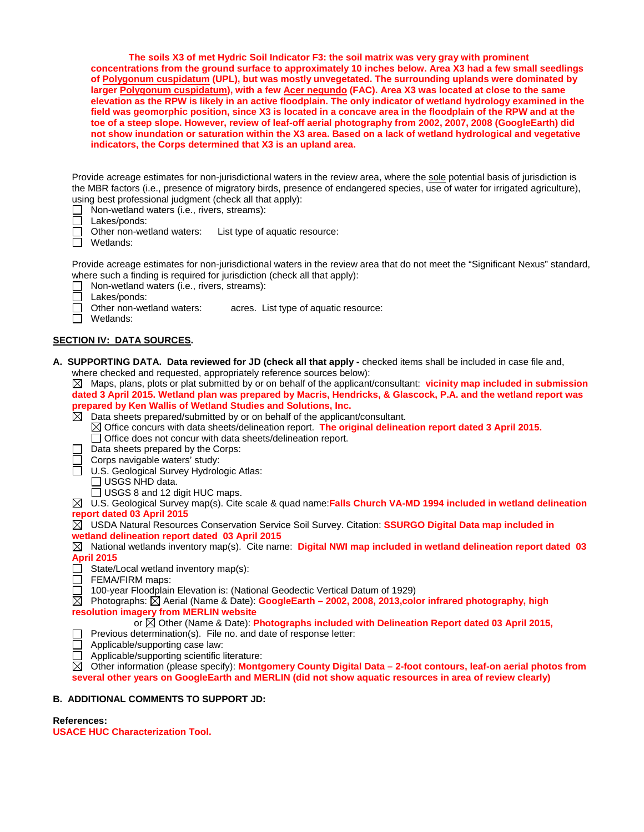**The soils X3 of met Hydric Soil Indicator F3: the soil matrix was very gray with prominent concentrations from the ground surface to approximately 10 inches below. Area X3 had a few small seedlings of Polygonum cuspidatum (UPL), but was mostly unvegetated. The surrounding uplands were dominated by larger Polygonum cuspidatum), with a few Acer negundo (FAC). Area X3 was located at close to the same elevation as the RPW is likely in an active floodplain. The only indicator of wetland hydrology examined in the field was geomorphic position, since X3 is located in a concave area in the floodplain of the RPW and at the toe of a steep slope. However, review of leaf-off aerial photography from 2002, 2007, 2008 (GoogleEarth) did not show inundation or saturation within the X3 area. Based on a lack of wetland hydrological and vegetative indicators, the Corps determined that X3 is an upland area.**

Provide acreage estimates for non-jurisdictional waters in the review area, where the sole potential basis of jurisdiction is the MBR factors (i.e., presence of migratory birds, presence of endangered species, use of water for irrigated agriculture), using best professional judgment (check all that apply):<br>  $\Box$  Non-wetland waters (i.e., rivers, streams):

- **Non-wetland waters (i.e., rivers, streams):**<br>□ Lakes/ponds:
	- Lakes/ponds:
- ñ Other non-wetland waters: List type of aquatic resource:
- Wetlands:

Provide acreage estimates for non-jurisdictional waters in the review area that do not meet the "Significant Nexus" standard, where such a finding is required for jurisdiction (check all that apply):

- П Non-wetland waters (i.e., rivers, streams):
- П
- Lakes/ponds:<br>Other non-wetland waters: acres. List type of aquatic resource:  $\Box$
- $\Box$  Wetlands:

# **SECTION IV: DATA SOURCES.**

**A. SUPPORTING DATA. Data reviewed for JD (check all that apply -** checked items shall be included in case file and, where checked and requested, appropriately reference sources below):

 $\boxtimes$  Maps, plans, plots or plat submitted by or on behalf of the applicant/consultant: **vicinity map included in submission dated 3 April 2015. Wetland plan was prepared by Macris, Hendricks, & Glascock, P.A. and the wetland report was prepared by Ken Wallis of Wetland Studies and Solutions, Inc.** 

Data sheets prepared/submitted by or on behalf of the applicant/consultant.

- Office concurs with data sheets/delineation report. **The original delineation report dated 3 April 2015.**  $\Box$  Office does not concur with data sheets/delineation report.
- $\Box$  Data sheets prepared by the Corps:
- $\Box$  Corps navigable waters' study:
- □ U.S. Geological Survey Hydrologic Atlas:
- USGS NHD data.
	- □ USGS 8 and 12 digit HUC maps.

U.S. Geological Survey map(s). Cite scale & quad name:**Falls Church VA-MD 1994 included in wetland delineation report dated 03 April 2015**

USDA Natural Resources Conservation Service Soil Survey. Citation: **SSURGO Digital Data map included in wetland delineation report dated 03 April 2015**

 $\boxtimes$  National wetlands inventory map(s). Cite name: **Digital NWI map included in wetland delineation report dated 03 April 2015**

- $\overrightarrow{\bigcap}$  State/Local wetland inventory map(s):
- $\Box$  FEMA/FIRM maps:
- 100-year Floodplain Elevation is: (National Geodectic Vertical Datum of 1929)

Photographs: Aerial (Name & Date): **GoogleEarth – 2002, 2008, 2013,color infrared photography, high resolution imagery from MERLIN website**

or Other (Name & Date): **Photographs included with Delineation Report dated 03 April 2015,** 

- Previous determination(s). File no. and date of response letter:
- Applicable/supporting case law:
- П Applicable/supporting scientific literature:

Other information (please specify): **Montgomery County Digital Data – 2-foot contours, leaf-on aerial photos from several other years on GoogleEarth and MERLIN (did not show aquatic resources in area of review clearly)**

## **B. ADDITIONAL COMMENTS TO SUPPORT JD:**

## **References:**

**USACE HUC Characterization Tool.**